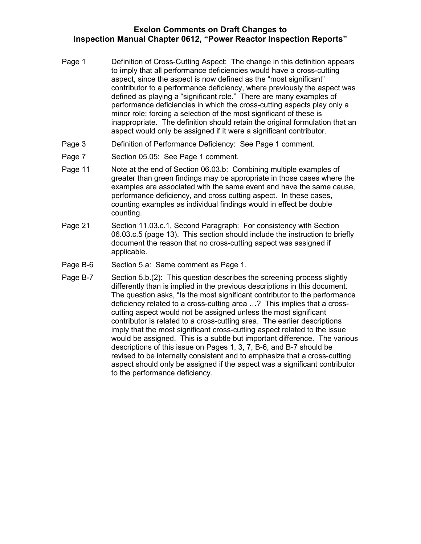## **Exelon Comments on Draft Changes to Inspection Manual Chapter 0612, "Power Reactor Inspection Reports"**

- Page 1 Definition of Cross-Cutting Aspect: The change in this definition appears to imply that all performance deficiencies would have a cross-cutting aspect, since the aspect is now defined as the "most significant" contributor to a performance deficiency, where previously the aspect was defined as playing a "significant role." There are many examples of performance deficiencies in which the cross-cutting aspects play only a minor role; forcing a selection of the most significant of these is inappropriate. The definition should retain the original formulation that an aspect would only be assigned if it were a significant contributor.
- Page 3 Definition of Performance Deficiency: See Page 1 comment.
- Page 7 Section 05.05: See Page 1 comment.
- Page 11 Note at the end of Section 06.03.b: Combining multiple examples of greater than green findings may be appropriate in those cases where the examples are associated with the same event and have the same cause, performance deficiency, and cross cutting aspect. In these cases, counting examples as individual findings would in effect be double counting.
- Page 21 Section 11.03.c.1, Second Paragraph: For consistency with Section 06.03.c.5 (page 13). This section should include the instruction to briefly document the reason that no cross-cutting aspect was assigned if applicable.
- Page B-6 Section 5.a: Same comment as Page 1.
- Page B-7 Section 5.b.(2): This question describes the screening process slightly differently than is implied in the previous descriptions in this document. The question asks, "Is the most significant contributor to the performance deficiency related to a cross-cutting area …? This implies that a crosscutting aspect would not be assigned unless the most significant contributor is related to a cross-cutting area. The earlier descriptions imply that the most significant cross-cutting aspect related to the issue would be assigned. This is a subtle but important difference. The various descriptions of this issue on Pages 1, 3, 7, B-6, and B-7 should be revised to be internally consistent and to emphasize that a cross-cutting aspect should only be assigned if the aspect was a significant contributor to the performance deficiency.